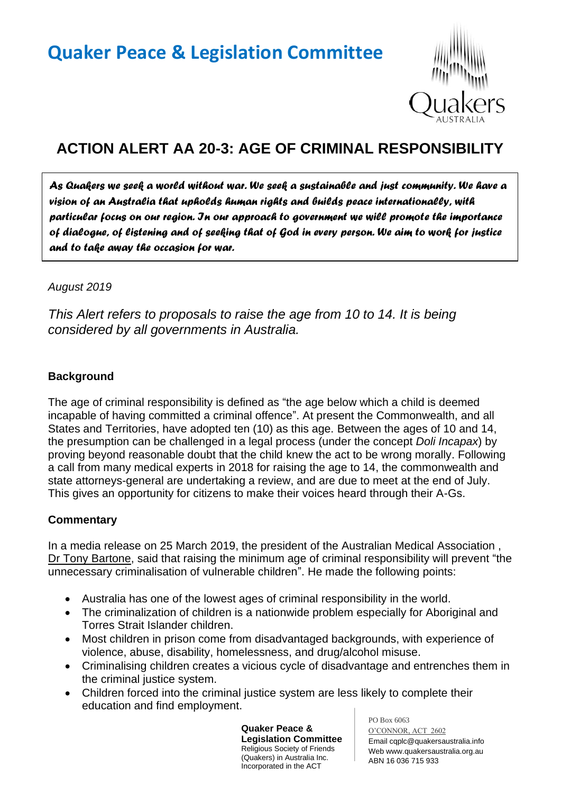

# **ACTION ALERT AA 20-3: AGE OF CRIMINAL RESPONSIBILITY**

*As Quakers we seek a world without war. We seek a sustainable and just community. We have a vision of an Australia that upholds human rights and builds peace internationally, with particular focus on our region. In our approach to government we will promote the importance of dialogue, of listening and of seeking that of God in every person. We aim to work for justice and to take away the occasion for war.* 

#### *August 2019*

*This Alert refers to proposals to raise the age from 10 to 14. It is being considered by all governments in Australia.*

### **Background**

The age of criminal responsibility is defined as "the age below which a child is deemed incapable of having committed a criminal offence". At present the Commonwealth, and all States and Territories, have adopted ten (10) as this age. Between the ages of 10 and 14, the presumption can be challenged in a legal process (under the concept *Doli Incapax*) by proving beyond reasonable doubt that the child knew the act to be wrong morally. Following a call from many medical experts in 2018 for raising the age to 14, the commonwealth and state attorneys-general are undertaking a review, and are due to meet at the end of July. This gives an opportunity for citizens to make their voices heard through their A-Gs.

### **Commentary**

In a media release on 25 March 2019, the president of the Australian Medical Association , Dr Tony Bartone, said that raising the minimum age of criminal responsibility will prevent "the unnecessary criminalisation of vulnerable children". He made the following points:

- Australia has one of the lowest ages of criminal responsibility in the world.
- The criminalization of children is a nationwide problem especially for Aboriginal and Torres Strait Islander children.
- Most children in prison come from disadvantaged backgrounds, with experience of violence, abuse, disability, homelessness, and drug/alcohol misuse.
- Criminalising children creates a vicious cycle of disadvantage and entrenches them in the criminal justice system.
- Children forced into the criminal justice system are less likely to complete their education and find employment.

**Quaker Peace & Legislation Committee** Religious Society of Friends (Quakers) in Australia Inc. Incorporated in the ACT

PO Box 6063 O'CONNOR, ACT 2602 Email cqplc@quakersaustralia.info Web www.quakersaustralia.org.au ABN 16 036 715 933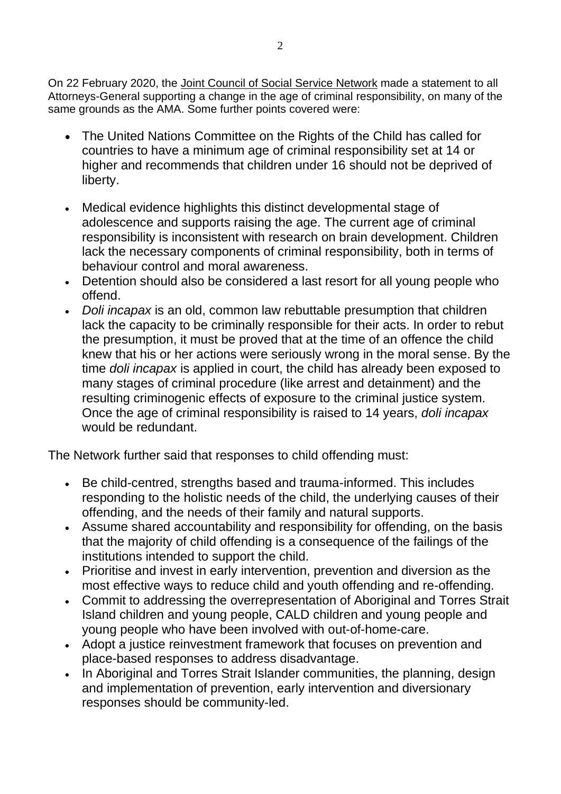On 22 February 2020, the Joint Council of Social Service Network made a statement to all Attorneys-General supporting a change in the age of criminal responsibility, on many of the same grounds as the AMA. Some further points covered were:

- The United Nations Committee on the Rights of the Child has called for countries to have a minimum age of criminal responsibility set at 14 or higher and recommends that children under 16 should not be deprived of liberty.
- Medical evidence highlights this distinct developmental stage of adolescence and supports raising the age. The current age of criminal responsibility is inconsistent with research on brain development. Children lack the necessary components of criminal responsibility, both in terms of behaviour control and moral awareness.
- Detention should also be considered a last resort for all young people who offend.
- *Doli incapax* is an old, common law rebuttable presumption that children lack the capacity to be criminally responsible for their acts. In order to rebut the presumption, it must be proved that at the time of an offence the child knew that his or her actions were seriously wrong in the moral sense. By the time *doli incapax* is applied in court, the child has already been exposed to many stages of criminal procedure (like arrest and detainment) and the resulting criminogenic effects of exposure to the criminal justice system. Once the age of criminal responsibility is raised to 14 years, *doli incapax* would be redundant.

The Network further said that responses to child offending must:

- Be child-centred, strengths based and trauma-informed. This includes responding to the holistic needs of the child, the underlying causes of their offending, and the needs of their family and natural supports.
- Assume shared accountability and responsibility for offending, on the basis that the majority of child offending is a consequence of the failings of the institutions intended to support the child.
- Prioritise and invest in early intervention, prevention and diversion as the most effective ways to reduce child and youth offending and re-offending.
- Commit to addressing the overrepresentation of Aboriginal and Torres Strait Island children and young people, CALD children and young people and young people who have been involved with out-of-home-care.
- Adopt a justice reinvestment framework that focuses on prevention and place-based responses to address disadvantage.
- In Aboriginal and Torres Strait Islander communities, the planning, design and implementation of prevention, early intervention and diversionary responses should be community-led.